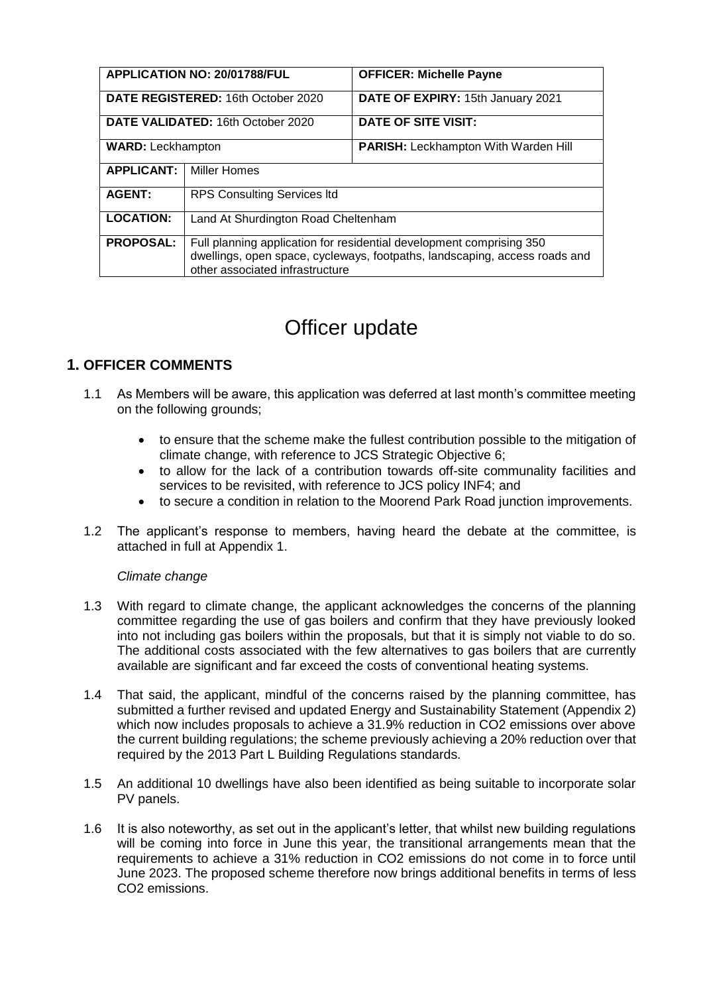| APPLICATION NO: 20/01788/FUL       |                                                                                                                                                                                       | <b>OFFICER: Michelle Payne</b>              |
|------------------------------------|---------------------------------------------------------------------------------------------------------------------------------------------------------------------------------------|---------------------------------------------|
| DATE REGISTERED: 16th October 2020 |                                                                                                                                                                                       | DATE OF EXPIRY: 15th January 2021           |
| DATE VALIDATED: 16th October 2020  |                                                                                                                                                                                       | DATE OF SITE VISIT:                         |
| <b>WARD:</b> Leckhampton           |                                                                                                                                                                                       | <b>PARISH: Leckhampton With Warden Hill</b> |
| <b>APPLICANT:</b>                  | <b>Miller Homes</b>                                                                                                                                                                   |                                             |
| <b>AGENT:</b>                      | <b>RPS Consulting Services Itd</b>                                                                                                                                                    |                                             |
| <b>LOCATION:</b>                   | Land At Shurdington Road Cheltenham                                                                                                                                                   |                                             |
| <b>PROPOSAL:</b>                   | Full planning application for residential development comprising 350<br>dwellings, open space, cycleways, footpaths, landscaping, access roads and<br>other associated infrastructure |                                             |

# Officer update

# **1. OFFICER COMMENTS**

- 1.1 As Members will be aware, this application was deferred at last month's committee meeting on the following grounds;
	- to ensure that the scheme make the fullest contribution possible to the mitigation of climate change, with reference to JCS Strategic Objective 6;
	- to allow for the lack of a contribution towards off-site communality facilities and services to be revisited, with reference to JCS policy INF4; and
	- to secure a condition in relation to the Moorend Park Road junction improvements.
- 1.2 The applicant's response to members, having heard the debate at the committee, is attached in full at Appendix 1.

#### *Climate change*

- 1.3 With regard to climate change, the applicant acknowledges the concerns of the planning committee regarding the use of gas boilers and confirm that they have previously looked into not including gas boilers within the proposals, but that it is simply not viable to do so. The additional costs associated with the few alternatives to gas boilers that are currently available are significant and far exceed the costs of conventional heating systems.
- 1.4 That said, the applicant, mindful of the concerns raised by the planning committee, has submitted a further revised and updated Energy and Sustainability Statement (Appendix 2) which now includes proposals to achieve a 31.9% reduction in CO2 emissions over above the current building regulations; the scheme previously achieving a 20% reduction over that required by the 2013 Part L Building Regulations standards.
- 1.5 An additional 10 dwellings have also been identified as being suitable to incorporate solar PV panels.
- 1.6 It is also noteworthy, as set out in the applicant's letter, that whilst new building regulations will be coming into force in June this year, the transitional arrangements mean that the requirements to achieve a 31% reduction in CO2 emissions do not come in to force until June 2023. The proposed scheme therefore now brings additional benefits in terms of less CO2 emissions.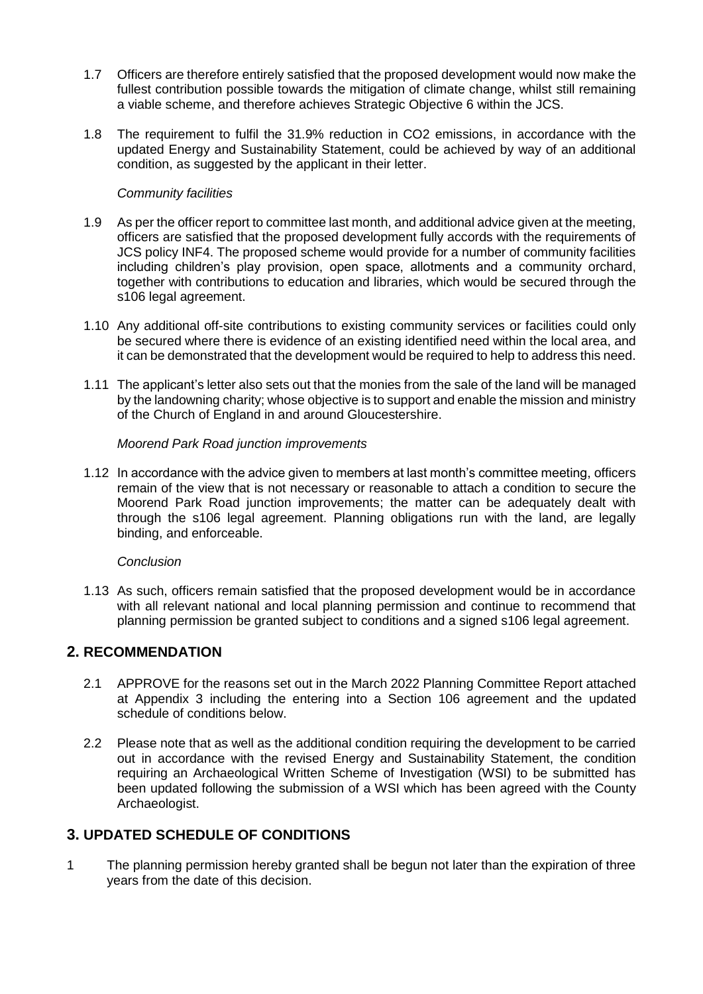- 1.7 Officers are therefore entirely satisfied that the proposed development would now make the fullest contribution possible towards the mitigation of climate change, whilst still remaining a viable scheme, and therefore achieves Strategic Objective 6 within the JCS.
- 1.8 The requirement to fulfil the 31.9% reduction in CO2 emissions, in accordance with the updated Energy and Sustainability Statement, could be achieved by way of an additional condition, as suggested by the applicant in their letter.

### *Community facilities*

- 1.9 As per the officer report to committee last month, and additional advice given at the meeting, officers are satisfied that the proposed development fully accords with the requirements of JCS policy INF4. The proposed scheme would provide for a number of community facilities including children's play provision, open space, allotments and a community orchard, together with contributions to education and libraries, which would be secured through the s106 legal agreement.
- 1.10 Any additional off-site contributions to existing community services or facilities could only be secured where there is evidence of an existing identified need within the local area, and it can be demonstrated that the development would be required to help to address this need.
- 1.11 The applicant's letter also sets out that the monies from the sale of the land will be managed by the landowning charity; whose objective is to support and enable the mission and ministry of the Church of England in and around Gloucestershire.

## *Moorend Park Road junction improvements*

1.12 In accordance with the advice given to members at last month's committee meeting, officers remain of the view that is not necessary or reasonable to attach a condition to secure the Moorend Park Road junction improvements; the matter can be adequately dealt with through the s106 legal agreement. Planning obligations run with the land, are legally binding, and enforceable.

#### *Conclusion*

1.13 As such, officers remain satisfied that the proposed development would be in accordance with all relevant national and local planning permission and continue to recommend that planning permission be granted subject to conditions and a signed s106 legal agreement.

## **2. RECOMMENDATION**

- 2.1 APPROVE for the reasons set out in the March 2022 Planning Committee Report attached at Appendix 3 including the entering into a Section 106 agreement and the updated schedule of conditions below.
- 2.2 Please note that as well as the additional condition requiring the development to be carried out in accordance with the revised Energy and Sustainability Statement, the condition requiring an Archaeological Written Scheme of Investigation (WSI) to be submitted has been updated following the submission of a WSI which has been agreed with the County Archaeologist.

## **3. UPDATED SCHEDULE OF CONDITIONS**

1 The planning permission hereby granted shall be begun not later than the expiration of three years from the date of this decision.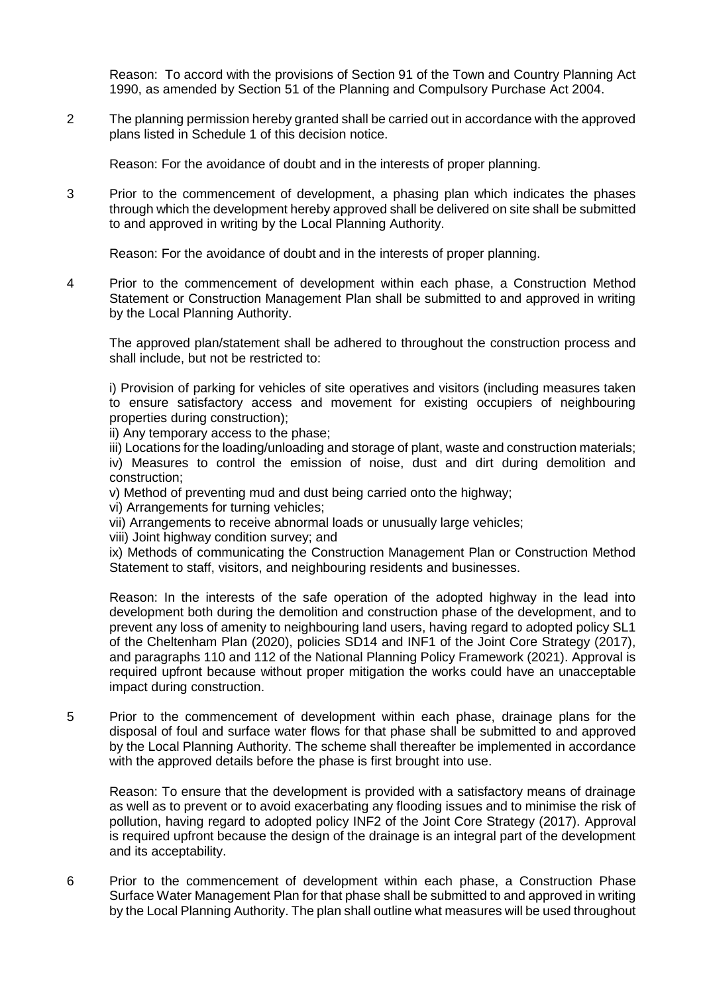Reason: To accord with the provisions of Section 91 of the Town and Country Planning Act 1990, as amended by Section 51 of the Planning and Compulsory Purchase Act 2004.

2 The planning permission hereby granted shall be carried out in accordance with the approved plans listed in Schedule 1 of this decision notice.

Reason: For the avoidance of doubt and in the interests of proper planning.

3 Prior to the commencement of development, a phasing plan which indicates the phases through which the development hereby approved shall be delivered on site shall be submitted to and approved in writing by the Local Planning Authority.

Reason: For the avoidance of doubt and in the interests of proper planning.

4 Prior to the commencement of development within each phase, a Construction Method Statement or Construction Management Plan shall be submitted to and approved in writing by the Local Planning Authority.

The approved plan/statement shall be adhered to throughout the construction process and shall include, but not be restricted to:

i) Provision of parking for vehicles of site operatives and visitors (including measures taken to ensure satisfactory access and movement for existing occupiers of neighbouring properties during construction);

ii) Any temporary access to the phase;

iii) Locations for the loading/unloading and storage of plant, waste and construction materials; iv) Measures to control the emission of noise, dust and dirt during demolition and construction;

v) Method of preventing mud and dust being carried onto the highway;

vi) Arrangements for turning vehicles;

vii) Arrangements to receive abnormal loads or unusually large vehicles;

viii) Joint highway condition survey; and

ix) Methods of communicating the Construction Management Plan or Construction Method Statement to staff, visitors, and neighbouring residents and businesses.

Reason: In the interests of the safe operation of the adopted highway in the lead into development both during the demolition and construction phase of the development, and to prevent any loss of amenity to neighbouring land users, having regard to adopted policy SL1 of the Cheltenham Plan (2020), policies SD14 and INF1 of the Joint Core Strategy (2017), and paragraphs 110 and 112 of the National Planning Policy Framework (2021). Approval is required upfront because without proper mitigation the works could have an unacceptable impact during construction.

5 Prior to the commencement of development within each phase, drainage plans for the disposal of foul and surface water flows for that phase shall be submitted to and approved by the Local Planning Authority. The scheme shall thereafter be implemented in accordance with the approved details before the phase is first brought into use.

Reason: To ensure that the development is provided with a satisfactory means of drainage as well as to prevent or to avoid exacerbating any flooding issues and to minimise the risk of pollution, having regard to adopted policy INF2 of the Joint Core Strategy (2017). Approval is required upfront because the design of the drainage is an integral part of the development and its acceptability.

6 Prior to the commencement of development within each phase, a Construction Phase Surface Water Management Plan for that phase shall be submitted to and approved in writing by the Local Planning Authority. The plan shall outline what measures will be used throughout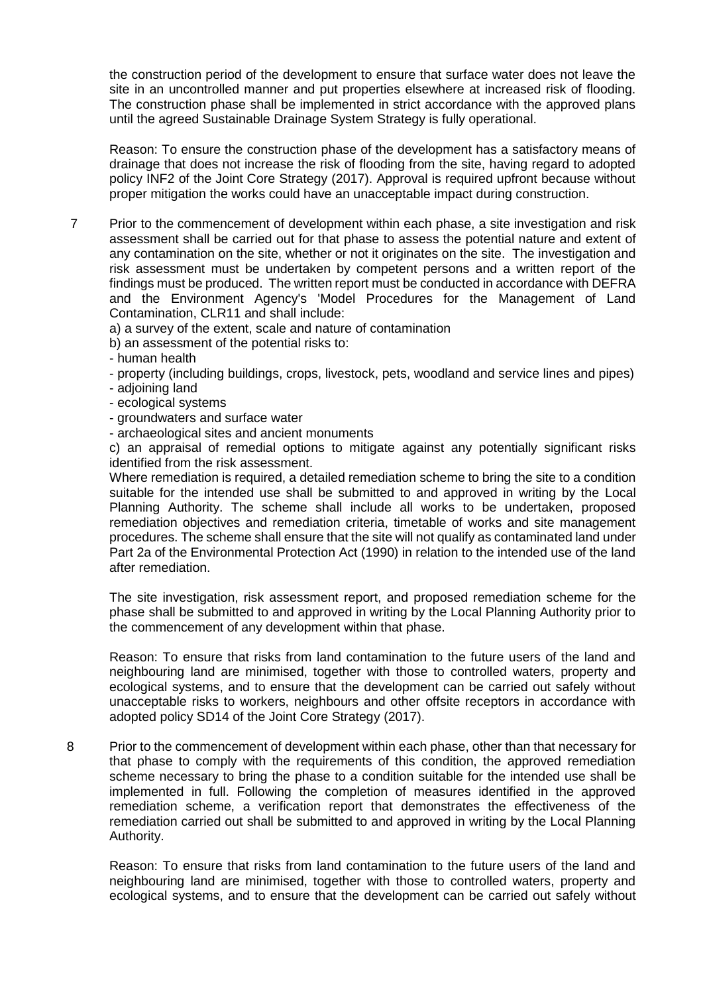the construction period of the development to ensure that surface water does not leave the site in an uncontrolled manner and put properties elsewhere at increased risk of flooding. The construction phase shall be implemented in strict accordance with the approved plans until the agreed Sustainable Drainage System Strategy is fully operational.

Reason: To ensure the construction phase of the development has a satisfactory means of drainage that does not increase the risk of flooding from the site, having regard to adopted policy INF2 of the Joint Core Strategy (2017). Approval is required upfront because without proper mitigation the works could have an unacceptable impact during construction.

7 Prior to the commencement of development within each phase, a site investigation and risk assessment shall be carried out for that phase to assess the potential nature and extent of any contamination on the site, whether or not it originates on the site. The investigation and risk assessment must be undertaken by competent persons and a written report of the findings must be produced. The written report must be conducted in accordance with DEFRA and the Environment Agency's 'Model Procedures for the Management of Land Contamination, CLR11 and shall include:

a) a survey of the extent, scale and nature of contamination

b) an assessment of the potential risks to:

- human health

- property (including buildings, crops, livestock, pets, woodland and service lines and pipes)

- adjoining land

- ecological systems
- groundwaters and surface water
- archaeological sites and ancient monuments

c) an appraisal of remedial options to mitigate against any potentially significant risks identified from the risk assessment.

Where remediation is required, a detailed remediation scheme to bring the site to a condition suitable for the intended use shall be submitted to and approved in writing by the Local Planning Authority. The scheme shall include all works to be undertaken, proposed remediation objectives and remediation criteria, timetable of works and site management procedures. The scheme shall ensure that the site will not qualify as contaminated land under Part 2a of the Environmental Protection Act (1990) in relation to the intended use of the land after remediation.

The site investigation, risk assessment report, and proposed remediation scheme for the phase shall be submitted to and approved in writing by the Local Planning Authority prior to the commencement of any development within that phase.

Reason: To ensure that risks from land contamination to the future users of the land and neighbouring land are minimised, together with those to controlled waters, property and ecological systems, and to ensure that the development can be carried out safely without unacceptable risks to workers, neighbours and other offsite receptors in accordance with adopted policy SD14 of the Joint Core Strategy (2017).

8 Prior to the commencement of development within each phase, other than that necessary for that phase to comply with the requirements of this condition, the approved remediation scheme necessary to bring the phase to a condition suitable for the intended use shall be implemented in full. Following the completion of measures identified in the approved remediation scheme, a verification report that demonstrates the effectiveness of the remediation carried out shall be submitted to and approved in writing by the Local Planning Authority.

Reason: To ensure that risks from land contamination to the future users of the land and neighbouring land are minimised, together with those to controlled waters, property and ecological systems, and to ensure that the development can be carried out safely without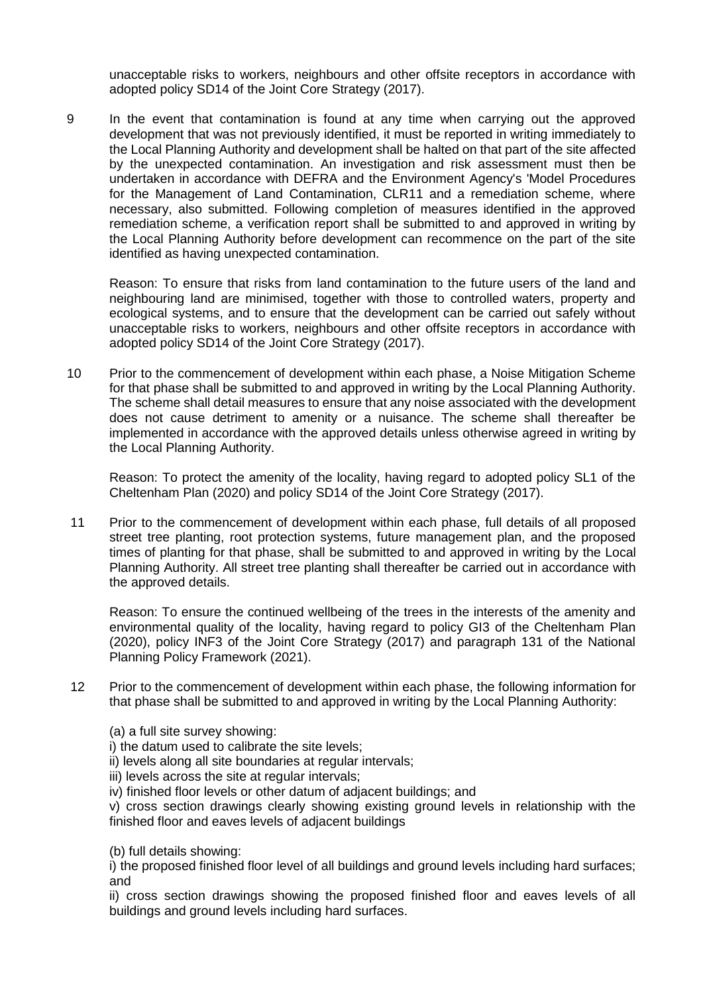unacceptable risks to workers, neighbours and other offsite receptors in accordance with adopted policy SD14 of the Joint Core Strategy (2017).

9 In the event that contamination is found at any time when carrying out the approved development that was not previously identified, it must be reported in writing immediately to the Local Planning Authority and development shall be halted on that part of the site affected by the unexpected contamination. An investigation and risk assessment must then be undertaken in accordance with DEFRA and the Environment Agency's 'Model Procedures for the Management of Land Contamination, CLR11 and a remediation scheme, where necessary, also submitted. Following completion of measures identified in the approved remediation scheme, a verification report shall be submitted to and approved in writing by the Local Planning Authority before development can recommence on the part of the site identified as having unexpected contamination.

Reason: To ensure that risks from land contamination to the future users of the land and neighbouring land are minimised, together with those to controlled waters, property and ecological systems, and to ensure that the development can be carried out safely without unacceptable risks to workers, neighbours and other offsite receptors in accordance with adopted policy SD14 of the Joint Core Strategy (2017).

10 Prior to the commencement of development within each phase, a Noise Mitigation Scheme for that phase shall be submitted to and approved in writing by the Local Planning Authority. The scheme shall detail measures to ensure that any noise associated with the development does not cause detriment to amenity or a nuisance. The scheme shall thereafter be implemented in accordance with the approved details unless otherwise agreed in writing by the Local Planning Authority.

Reason: To protect the amenity of the locality, having regard to adopted policy SL1 of the Cheltenham Plan (2020) and policy SD14 of the Joint Core Strategy (2017).

11 Prior to the commencement of development within each phase, full details of all proposed street tree planting, root protection systems, future management plan, and the proposed times of planting for that phase, shall be submitted to and approved in writing by the Local Planning Authority. All street tree planting shall thereafter be carried out in accordance with the approved details.

Reason: To ensure the continued wellbeing of the trees in the interests of the amenity and environmental quality of the locality, having regard to policy GI3 of the Cheltenham Plan (2020), policy INF3 of the Joint Core Strategy (2017) and paragraph 131 of the National Planning Policy Framework (2021).

12 Prior to the commencement of development within each phase, the following information for that phase shall be submitted to and approved in writing by the Local Planning Authority:

(a) a full site survey showing:

i) the datum used to calibrate the site levels;

ii) levels along all site boundaries at regular intervals;

iii) levels across the site at regular intervals:

iv) finished floor levels or other datum of adjacent buildings; and

v) cross section drawings clearly showing existing ground levels in relationship with the finished floor and eaves levels of adjacent buildings

(b) full details showing:

i) the proposed finished floor level of all buildings and ground levels including hard surfaces; and

ii) cross section drawings showing the proposed finished floor and eaves levels of all buildings and ground levels including hard surfaces.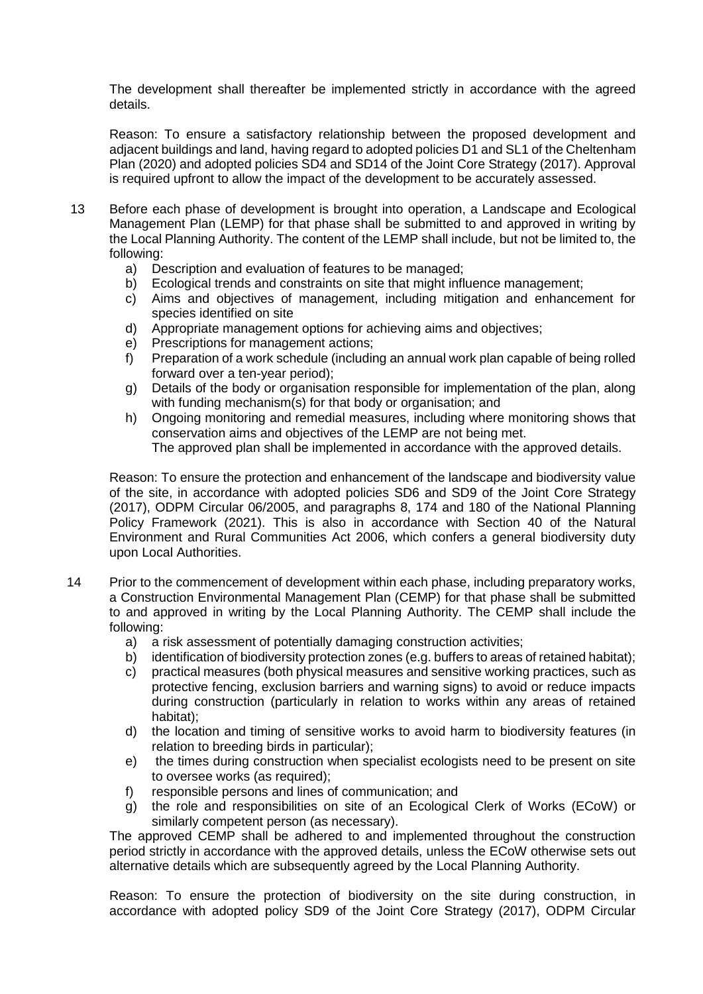The development shall thereafter be implemented strictly in accordance with the agreed details.

Reason: To ensure a satisfactory relationship between the proposed development and adjacent buildings and land, having regard to adopted policies D1 and SL1 of the Cheltenham Plan (2020) and adopted policies SD4 and SD14 of the Joint Core Strategy (2017). Approval is required upfront to allow the impact of the development to be accurately assessed.

- 13 Before each phase of development is brought into operation, a Landscape and Ecological Management Plan (LEMP) for that phase shall be submitted to and approved in writing by the Local Planning Authority. The content of the LEMP shall include, but not be limited to, the following:
	- a) Description and evaluation of features to be managed;
	- b) Ecological trends and constraints on site that might influence management;
	- c) Aims and objectives of management, including mitigation and enhancement for species identified on site
	- d) Appropriate management options for achieving aims and objectives;
	- e) Prescriptions for management actions;
	- f) Preparation of a work schedule (including an annual work plan capable of being rolled forward over a ten-year period);
	- g) Details of the body or organisation responsible for implementation of the plan, along with funding mechanism(s) for that body or organisation; and
	- h) Ongoing monitoring and remedial measures, including where monitoring shows that conservation aims and objectives of the LEMP are not being met. The approved plan shall be implemented in accordance with the approved details.

Reason: To ensure the protection and enhancement of the landscape and biodiversity value of the site, in accordance with adopted policies SD6 and SD9 of the Joint Core Strategy (2017), ODPM Circular 06/2005, and paragraphs 8, 174 and 180 of the National Planning Policy Framework (2021). This is also in accordance with Section 40 of the Natural Environment and Rural Communities Act 2006, which confers a general biodiversity duty upon Local Authorities.

- 14 Prior to the commencement of development within each phase, including preparatory works, a Construction Environmental Management Plan (CEMP) for that phase shall be submitted to and approved in writing by the Local Planning Authority. The CEMP shall include the following:
	- a) a risk assessment of potentially damaging construction activities;
	- b) identification of biodiversity protection zones (e.g. buffers to areas of retained habitat);
	- c) practical measures (both physical measures and sensitive working practices, such as protective fencing, exclusion barriers and warning signs) to avoid or reduce impacts during construction (particularly in relation to works within any areas of retained habitat);
	- d) the location and timing of sensitive works to avoid harm to biodiversity features (in relation to breeding birds in particular);
	- e) the times during construction when specialist ecologists need to be present on site to oversee works (as required);
	- f) responsible persons and lines of communication; and
	- g) the role and responsibilities on site of an Ecological Clerk of Works (ECoW) or similarly competent person (as necessary).

The approved CEMP shall be adhered to and implemented throughout the construction period strictly in accordance with the approved details, unless the ECoW otherwise sets out alternative details which are subsequently agreed by the Local Planning Authority.

Reason: To ensure the protection of biodiversity on the site during construction, in accordance with adopted policy SD9 of the Joint Core Strategy (2017), ODPM Circular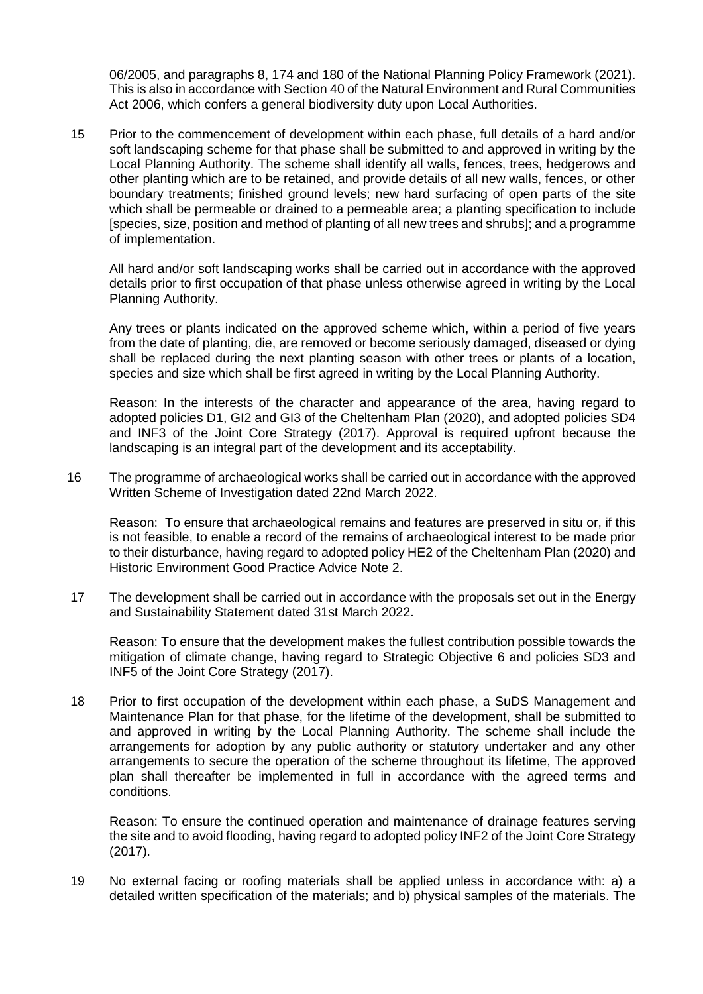06/2005, and paragraphs 8, 174 and 180 of the National Planning Policy Framework (2021). This is also in accordance with Section 40 of the Natural Environment and Rural Communities Act 2006, which confers a general biodiversity duty upon Local Authorities.

15 Prior to the commencement of development within each phase, full details of a hard and/or soft landscaping scheme for that phase shall be submitted to and approved in writing by the Local Planning Authority. The scheme shall identify all walls, fences, trees, hedgerows and other planting which are to be retained, and provide details of all new walls, fences, or other boundary treatments; finished ground levels; new hard surfacing of open parts of the site which shall be permeable or drained to a permeable area; a planting specification to include [species, size, position and method of planting of all new trees and shrubs]; and a programme of implementation.

All hard and/or soft landscaping works shall be carried out in accordance with the approved details prior to first occupation of that phase unless otherwise agreed in writing by the Local Planning Authority.

Any trees or plants indicated on the approved scheme which, within a period of five years from the date of planting, die, are removed or become seriously damaged, diseased or dying shall be replaced during the next planting season with other trees or plants of a location, species and size which shall be first agreed in writing by the Local Planning Authority.

Reason: In the interests of the character and appearance of the area, having regard to adopted policies D1, GI2 and GI3 of the Cheltenham Plan (2020), and adopted policies SD4 and INF3 of the Joint Core Strategy (2017). Approval is required upfront because the landscaping is an integral part of the development and its acceptability.

16 The programme of archaeological works shall be carried out in accordance with the approved Written Scheme of Investigation dated 22nd March 2022.

Reason: To ensure that archaeological remains and features are preserved in situ or, if this is not feasible, to enable a record of the remains of archaeological interest to be made prior to their disturbance, having regard to adopted policy HE2 of the Cheltenham Plan (2020) and Historic Environment Good Practice Advice Note 2.

17 The development shall be carried out in accordance with the proposals set out in the Energy and Sustainability Statement dated 31st March 2022.

Reason: To ensure that the development makes the fullest contribution possible towards the mitigation of climate change, having regard to Strategic Objective 6 and policies SD3 and INF5 of the Joint Core Strategy (2017).

18 Prior to first occupation of the development within each phase, a SuDS Management and Maintenance Plan for that phase, for the lifetime of the development, shall be submitted to and approved in writing by the Local Planning Authority. The scheme shall include the arrangements for adoption by any public authority or statutory undertaker and any other arrangements to secure the operation of the scheme throughout its lifetime, The approved plan shall thereafter be implemented in full in accordance with the agreed terms and conditions.

Reason: To ensure the continued operation and maintenance of drainage features serving the site and to avoid flooding, having regard to adopted policy INF2 of the Joint Core Strategy (2017).

19 No external facing or roofing materials shall be applied unless in accordance with: a) a detailed written specification of the materials; and b) physical samples of the materials. The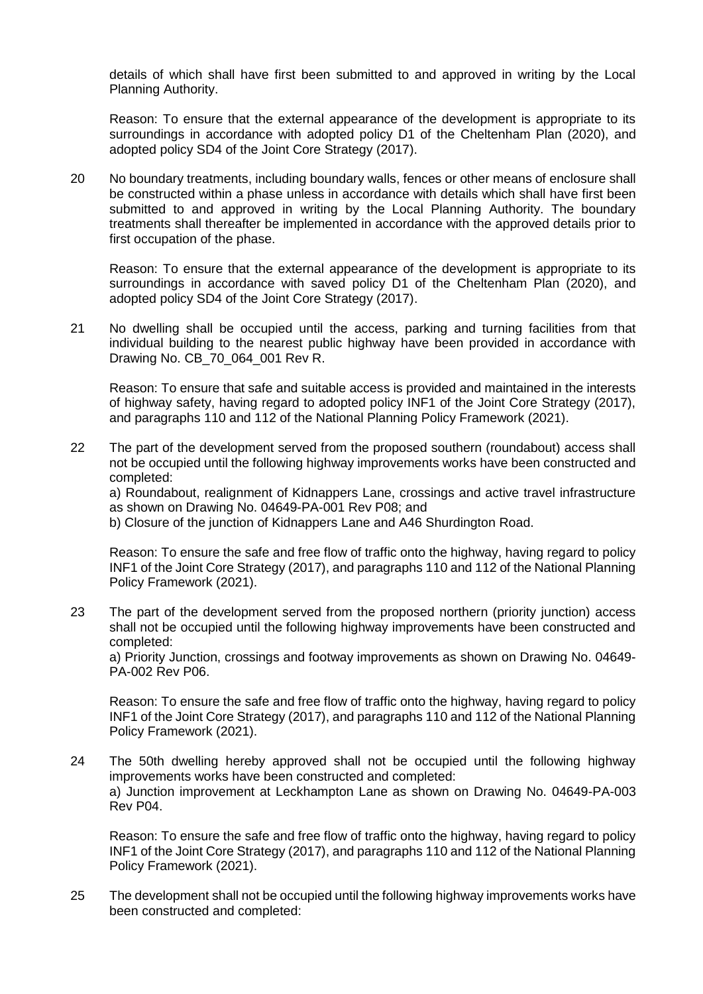details of which shall have first been submitted to and approved in writing by the Local Planning Authority.

Reason: To ensure that the external appearance of the development is appropriate to its surroundings in accordance with adopted policy D1 of the Cheltenham Plan (2020), and adopted policy SD4 of the Joint Core Strategy (2017).

20 No boundary treatments, including boundary walls, fences or other means of enclosure shall be constructed within a phase unless in accordance with details which shall have first been submitted to and approved in writing by the Local Planning Authority. The boundary treatments shall thereafter be implemented in accordance with the approved details prior to first occupation of the phase.

Reason: To ensure that the external appearance of the development is appropriate to its surroundings in accordance with saved policy D1 of the Cheltenham Plan (2020), and adopted policy SD4 of the Joint Core Strategy (2017).

21 No dwelling shall be occupied until the access, parking and turning facilities from that individual building to the nearest public highway have been provided in accordance with Drawing No. CB\_70\_064\_001 Rev R.

Reason: To ensure that safe and suitable access is provided and maintained in the interests of highway safety, having regard to adopted policy INF1 of the Joint Core Strategy (2017), and paragraphs 110 and 112 of the National Planning Policy Framework (2021).

22 The part of the development served from the proposed southern (roundabout) access shall not be occupied until the following highway improvements works have been constructed and completed:

a) Roundabout, realignment of Kidnappers Lane, crossings and active travel infrastructure as shown on Drawing No. 04649-PA-001 Rev P08; and

b) Closure of the junction of Kidnappers Lane and A46 Shurdington Road.

Reason: To ensure the safe and free flow of traffic onto the highway, having regard to policy INF1 of the Joint Core Strategy (2017), and paragraphs 110 and 112 of the National Planning Policy Framework (2021).

23 The part of the development served from the proposed northern (priority junction) access shall not be occupied until the following highway improvements have been constructed and completed:

a) Priority Junction, crossings and footway improvements as shown on Drawing No. 04649- PA-002 Rev P06.

Reason: To ensure the safe and free flow of traffic onto the highway, having regard to policy INF1 of the Joint Core Strategy (2017), and paragraphs 110 and 112 of the National Planning Policy Framework (2021).

24 The 50th dwelling hereby approved shall not be occupied until the following highway improvements works have been constructed and completed: a) Junction improvement at Leckhampton Lane as shown on Drawing No. 04649-PA-003 Rev P04.

Reason: To ensure the safe and free flow of traffic onto the highway, having regard to policy INF1 of the Joint Core Strategy (2017), and paragraphs 110 and 112 of the National Planning Policy Framework (2021).

25 The development shall not be occupied until the following highway improvements works have been constructed and completed: